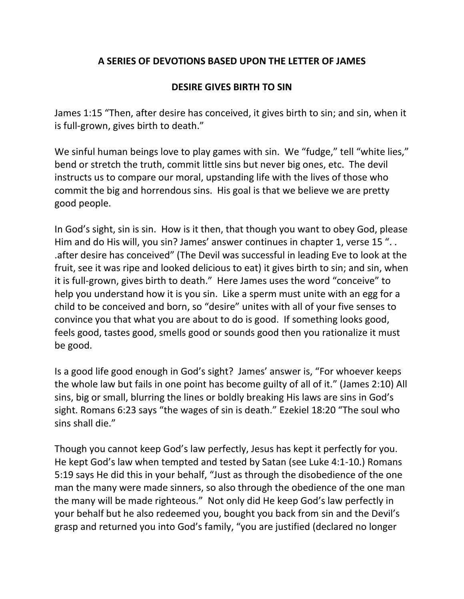## **A SERIES OF DEVOTIONS BASED UPON THE LETTER OF JAMES**

## **DESIRE GIVES BIRTH TO SIN**

James 1:15 "Then, after desire has conceived, it gives birth to sin; and sin, when it is full-grown, gives birth to death."

We sinful human beings love to play games with sin. We "fudge," tell "white lies," bend or stretch the truth, commit little sins but never big ones, etc. The devil instructs us to compare our moral, upstanding life with the lives of those who commit the big and horrendous sins. His goal is that we believe we are pretty good people.

In God's sight, sin is sin. How is it then, that though you want to obey God, please Him and do His will, you sin? James' answer continues in chapter 1, verse 15 ". . .after desire has conceived" (The Devil was successful in leading Eve to look at the fruit, see it was ripe and looked delicious to eat) it gives birth to sin; and sin, when it is full-grown, gives birth to death." Here James uses the word "conceive" to help you understand how it is you sin. Like a sperm must unite with an egg for a child to be conceived and born, so "desire" unites with all of your five senses to convince you that what you are about to do is good. If something looks good, feels good, tastes good, smells good or sounds good then you rationalize it must be good.

Is a good life good enough in God's sight? James' answer is, "For whoever keeps the whole law but fails in one point has become guilty of all of it." (James 2:10) All sins, big or small, blurring the lines or boldly breaking His laws are sins in God's sight. Romans 6:23 says "the wages of sin is death." Ezekiel 18:20 "The soul who sins shall die."

Though you cannot keep God's law perfectly, Jesus has kept it perfectly for you. He kept God's law when tempted and tested by Satan (see Luke 4:1-10.) Romans 5:19 says He did this in your behalf, "Just as through the disobedience of the one man the many were made sinners, so also through the obedience of the one man the many will be made righteous." Not only did He keep God's law perfectly in your behalf but he also redeemed you, bought you back from sin and the Devil's grasp and returned you into God's family, "you are justified (declared no longer